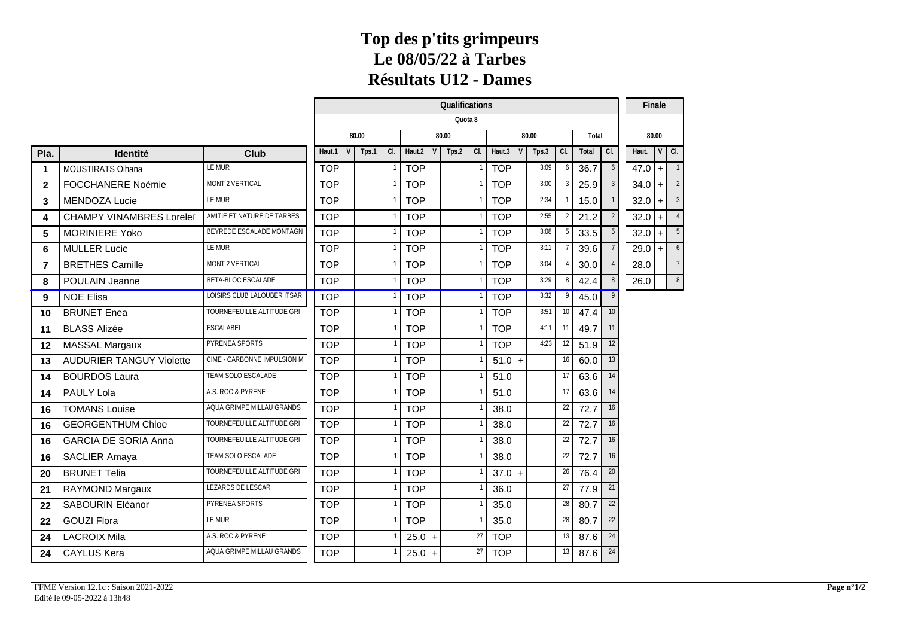#### **Top des p'tits grimpeurs Le 08/05/22 à Tarbes Résultats U12 - Dames**

|                         |                                 |                             | Qualifications<br>Quota 8                                              |  |  |            |          |       |           |            |  |       |     |       |    | Finale   |         |                |
|-------------------------|---------------------------------|-----------------------------|------------------------------------------------------------------------|--|--|------------|----------|-------|-----------|------------|--|-------|-----|-------|----|----------|---------|----------------|
|                         |                                 |                             | 80.00<br>80.00<br>80.00<br>Total<br>Tps.1<br>CL<br>Haut.2<br>CI.<br> C |  |  |            |          |       |           |            |  |       |     |       |    |          |         |                |
|                         |                                 |                             |                                                                        |  |  |            |          |       |           |            |  |       |     |       |    |          | 80.00   |                |
| Pla.                    | Identité                        | Club                        | Haut.1                                                                 |  |  |            |          | Tps.2 | CI.       | Haut.3     |  | Tps.3 |     | Total |    | Haut.    | $V$ Cl. |                |
| -1                      | MOUSTIRATS Oihana               | LE MUR                      | <b>TOP</b>                                                             |  |  | <b>TOP</b> |          |       |           | <b>TOP</b> |  | 3:09  | - 6 | 36.7  | 6  | $47.0$ + |         |                |
| $\overline{2}$          | FOCCHANERE Noémie               | MONT 2 VERTICAL             | <b>TOP</b>                                                             |  |  | <b>TOP</b> |          |       |           | <b>TOP</b> |  | 3:00  |     | 25.9  |    | $34.0$ + |         | 2              |
| 3                       | <b>MENDOZA Lucie</b>            | LE MUR                      | <b>TOP</b>                                                             |  |  | <b>TOP</b> |          |       |           | <b>TOP</b> |  | 2:34  |     | 15.0  |    | $32.0$ + |         | $\overline{3}$ |
| $\overline{\mathbf{4}}$ | <b>CHAMPY VINAMBRES Loreleï</b> | AMITIE ET NATURE DE TARBES  | <b>TOP</b>                                                             |  |  | <b>TOP</b> |          |       |           | <b>TOP</b> |  | 2:55  |     | 21.2  |    | $32.0$ + |         | $\sqrt{4}$     |
| 5                       | <b>MORINIERE Yoko</b>           | BEYREDE ESCALADE MONTAGN    | <b>TOP</b>                                                             |  |  | <b>TOP</b> |          |       |           | <b>TOP</b> |  | 3:08  |     | 33.5  |    | 32.0     | $+$     | - 5            |
| 6                       | <b>MULLER Lucie</b>             | LE MUR                      | <b>TOP</b>                                                             |  |  | <b>TOP</b> |          |       |           | <b>TOP</b> |  | 3:11  |     | 39.6  |    | 29.0     | $+$     | 6              |
| $\overline{7}$          | <b>BRETHES Camille</b>          | MONT 2 VERTICAL             | <b>TOP</b>                                                             |  |  | <b>TOP</b> |          |       |           | <b>TOP</b> |  | 3:04  |     | 30.0  |    | 28.0     |         | $\overline{7}$ |
| 8                       | POULAIN Jeanne                  | BETA-BLOC ESCALADE          | <b>TOP</b>                                                             |  |  | <b>TOP</b> |          |       |           | <b>TOP</b> |  | 3:29  |     | 42.4  |    | 26.0     |         | 8              |
| 9                       | <b>NOE Elisa</b>                | LOISIRS CLUB LALOUBER ITSAR | <b>TOP</b>                                                             |  |  | <b>TOP</b> |          |       |           | <b>TOP</b> |  | 3:32  |     | 45.0  |    |          |         |                |
| 10                      | <b>BRUNET</b> Enea              | TOURNEFEUILLE ALTITUDE GRI  | <b>TOP</b>                                                             |  |  | <b>TOP</b> |          |       |           | <b>TOP</b> |  | 3:51  | 10  | 47.4  | 10 |          |         |                |
| 11                      | <b>BLASS Alizée</b>             | ESCALABEL                   | <b>TOP</b>                                                             |  |  | <b>TOP</b> |          |       |           | <b>TOP</b> |  | 4:11  | 11  | 49.7  | 11 |          |         |                |
| 12                      | <b>MASSAL Margaux</b>           | PYRENEA SPORTS              | <b>TOP</b>                                                             |  |  | <b>TOP</b> |          |       |           | <b>TOP</b> |  | 4:23  | 12  | 51.9  | 12 |          |         |                |
| 13                      | <b>AUDURIER TANGUY Violette</b> | CIME - CARBONNE IMPULSION M | <b>TOP</b>                                                             |  |  | <b>TOP</b> |          |       |           | $51.0 +$   |  |       | 16  | 60.0  | 13 |          |         |                |
| 14                      | <b>BOURDOS Laura</b>            | TEAM SOLO ESCALADE          | <b>TOP</b>                                                             |  |  | <b>TOP</b> |          |       |           | 51.0       |  |       | 17  | 63.6  | 14 |          |         |                |
| 14                      | PAULY Lola                      | A.S. ROC & PYRENE           | <b>TOP</b>                                                             |  |  | <b>TOP</b> |          |       |           | 51.0       |  |       | 17  | 63.6  | 14 |          |         |                |
| 16                      | <b>TOMANS Louise</b>            | AQUA GRIMPE MILLAU GRANDS   | <b>TOP</b>                                                             |  |  | <b>TOP</b> |          |       |           | 38.0       |  |       | 22  | 72.7  | 16 |          |         |                |
| 16                      | <b>GEORGENTHUM Chloe</b>        | TOURNEFEUILLE ALTITUDE GRI  | <b>TOP</b>                                                             |  |  | <b>TOP</b> |          |       |           | 38.0       |  |       | 22  | 72.7  | 16 |          |         |                |
| 16                      | <b>GARCIA DE SORIA Anna</b>     | TOURNEFEUILLE ALTITUDE GRI  | <b>TOP</b>                                                             |  |  | <b>TOP</b> |          |       |           | 38.0       |  |       | 22  | 72.7  | 16 |          |         |                |
| 16                      | SACLIER Amaya                   | TEAM SOLO ESCALADE          | <b>TOP</b>                                                             |  |  | <b>TOP</b> |          |       |           | 38.0       |  |       | 22  | 72.7  | 16 |          |         |                |
| 20                      | <b>BRUNET Telia</b>             | TOURNEFEUILLE ALTITUDE GRI  | <b>TOP</b>                                                             |  |  | <b>TOP</b> |          |       |           | $37.0 +$   |  |       | 26  | 76.4  | 20 |          |         |                |
| 21                      | RAYMOND Margaux                 | LEZARDS DE LESCAR           | <b>TOP</b>                                                             |  |  | <b>TOP</b> |          |       |           | 36.0       |  |       | 27  | 77.9  | 21 |          |         |                |
| 22                      | SABOURIN Eléanor                | PYRENEA SPORTS              | <b>TOP</b>                                                             |  |  | <b>TOP</b> |          |       |           | 35.0       |  |       | 28  | 80.7  | 22 |          |         |                |
| 22                      | <b>GOUZI Flora</b>              | LE MUR                      | <b>TOP</b>                                                             |  |  | <b>TOP</b> |          |       |           | 35.0       |  |       | 28  | 80.7  | 22 |          |         |                |
| 24                      | <b>LACROIX Mila</b>             | A.S. ROC & PYRENE           | <b>TOP</b>                                                             |  |  |            | $25.0 +$ |       | 27        | <b>TOP</b> |  |       | 13  | 87.6  | 24 |          |         |                |
| 24                      | <b>CAYLUS Kera</b>              | AQUA GRIMPE MILLAU GRANDS   | <b>TOP</b>                                                             |  |  |            | $25.0 +$ |       | $27 \mid$ | <b>TOP</b> |  |       | 13  | 87.6  | 24 |          |         |                |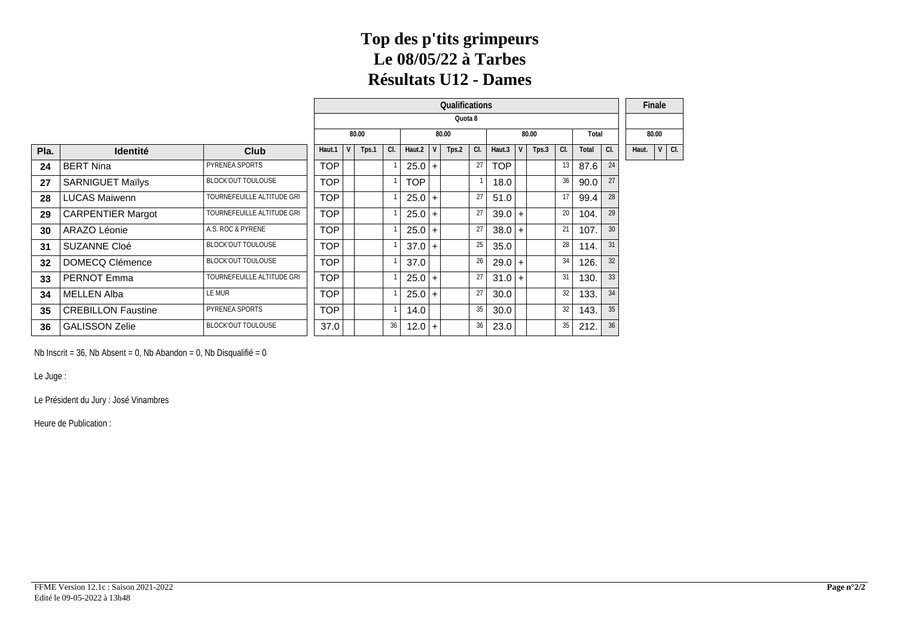#### **Top des p'tits grimpeurs Le 08/05/22 à Tarbes Résultats U12 - Dames**

|      |                           |                            |            |       |     |                  | Qualifications |    |            |   |       |                 |       |     | Finale      |
|------|---------------------------|----------------------------|------------|-------|-----|------------------|----------------|----|------------|---|-------|-----------------|-------|-----|-------------|
|      |                           |                            |            |       |     |                  | Quota 8        |    |            |   |       |                 |       |     |             |
|      |                           |                            |            | 80.00 |     |                  | 80.00          |    |            |   | 80.00 |                 | Total |     | 80.00       |
| Pla. | <b>Identité</b>           | Club                       | Haut.1     | Tps.1 | CI. | Haut.2 $\vert$ V | Tps.2          | CL | Haut.3     | V | Tps.3 | CI.             | Total | CI. | Haut. V Cl. |
| 24   | <b>BERT Nina</b>          | PYRENEA SPORTS             | <b>TOP</b> |       |     | $25.0+$          |                | 27 | <b>TOP</b> |   |       | 13 <sup>1</sup> | 87.6  | 24  |             |
| 27   | <b>SARNIGUET Maïlys</b>   | <b>BLOCK'OUT TOULOUSE</b>  | <b>TOP</b> |       |     | <b>TOP</b>       |                |    | 18.0       |   |       | 36              | 90.0  | 27  |             |
| 28   | <b>LUCAS Maiwenn</b>      | TOURNEFEUILLE ALTITUDE GRI | <b>TOP</b> |       |     | $25.0+$          |                | 27 | 51.0       |   |       | 17              | 99.4  | 28  |             |
| 29   | <b>CARPENTIER Margot</b>  | TOURNEFEUILLE ALTITUDE GRI | <b>TOP</b> |       |     | $25.0+$          |                | 27 | $39.0 +$   |   |       | 20 l            | 104.  | 29  |             |
| 30   | ARAZO Léonie              | A.S. ROC & PYRENE          | <b>TOP</b> |       |     | $25.0+$          |                | 27 | $38.0$ +   |   |       | 21              | 107.  | 30  |             |
| 31   | SUZANNE Cloé              | <b>BLOCK'OUT TOULOUSE</b>  | <b>TOP</b> |       |     | $37.0 +$         |                | 25 | 35.0       |   |       | 28              | 114.  | 31  |             |
| 32   | DOMECQ Clémence           | <b>BLOCK'OUT TOULOUSE</b>  | <b>TOP</b> |       |     | 37.0             |                | 26 | $29.0$ +   |   |       | 34              | 126.  | 32  |             |
| 33   | PERNOT Emma               | TOURNEFEUILLE ALTITUDE GRI | <b>TOP</b> |       |     | $25.0+$          |                | 27 | $31.0 +$   |   |       | 31              | 130.  | 33  |             |
| 34   | <b>MELLEN Alba</b>        | LE MUR                     | <b>TOP</b> |       |     | $25.0+$          |                | 27 | 30.0       |   |       | 32              | 133.  | 34  |             |
| 35   | <b>CREBILLON Faustine</b> | PYRENEA SPORTS             | <b>TOP</b> |       |     | 14.0             |                | 35 | 30.0       |   |       | 32              | 143.  | 35  |             |
| 36   | <b>GALISSON Zelie</b>     | <b>BLOCK'OUT TOULOUSE</b>  | 37.0       |       | 36  | $12.0 +$         |                | 36 | 23.0       |   |       | 35              | 212.  | 36  |             |

Nb Inscrit = 36, Nb Absent = 0, Nb Abandon = 0, Nb Disqualifié = 0

Le Juge :

Le Président du Jury : José Vinambres

Heure de Publication :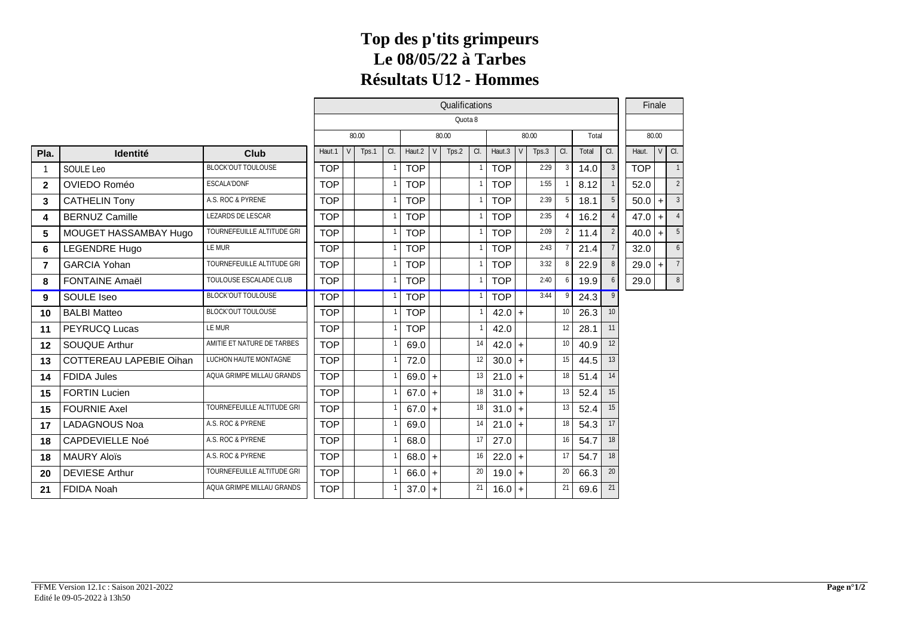# **Top des p'tits grimpeurs Le 08/05/22 à Tarbes Résultats U12 - Hommes**

|              |                         |                            | Qualifications                              |     |       |    |            |  |       |                 |                |  |       |                 | Finale |                 |            |       |                |  |  |
|--------------|-------------------------|----------------------------|---------------------------------------------|-----|-------|----|------------|--|-------|-----------------|----------------|--|-------|-----------------|--------|-----------------|------------|-------|----------------|--|--|
|              |                         |                            | Quota 8<br>80.00<br>80.00<br>80.00<br>Total |     |       |    |            |  |       |                 |                |  |       |                 |        |                 |            |       |                |  |  |
|              |                         |                            |                                             |     |       |    |            |  |       |                 |                |  |       |                 |        |                 |            | 80.00 |                |  |  |
| Pla.         | <b>Identité</b>         | Club                       | Haut.1                                      | V l | Tps.1 | a. | Haut.2     |  | Tps.2 | C.              | Haut.3 $\vert$ |  | Tps.3 | a               | Total  | $\alpha$ .      | Haut.      |       | $VQ$ .         |  |  |
|              | SOULE Leo               | <b>BLOCKOUT TOULOUSE</b>   | <b>TOP</b>                                  |     |       |    | <b>TOP</b> |  |       |                 | <b>TOP</b>     |  | 2:29  | 3               | 14.0   |                 | <b>TOP</b> |       |                |  |  |
| $\mathbf{2}$ | OVIEDO Roméo            | <b>ESCALA'DONF</b>         | <b>TOP</b>                                  |     |       |    | <b>TOP</b> |  |       |                 | <b>TOP</b>     |  | 1:55  |                 | 8.12   |                 | 52.0       |       | 2              |  |  |
| 3            | <b>CATHELIN Tony</b>    | A.S. ROC & PYRENE          | <b>TOP</b>                                  |     |       |    | <b>TOP</b> |  |       |                 | <b>TOP</b>     |  | 2:39  | 5 <sub>1</sub>  | 18.1   |                 | 50.0       | $+$   | 3 <sup>1</sup> |  |  |
| 4            | <b>BERNUZ Camille</b>   | <b>LEZARDS DE LESCAR</b>   | <b>TOP</b>                                  |     |       |    | <b>TOP</b> |  |       |                 | <b>TOP</b>     |  | 2:35  |                 | 16.2   |                 | 47.0       | $+1$  |                |  |  |
| 5            | MOUGET HASSAMBAY Hugo   | TOURNEFEUILLE ALTITUDE GRI | <b>TOP</b>                                  |     |       |    | <b>TOP</b> |  |       |                 | <b>TOP</b>     |  | 2:09  | 2 <sub>1</sub>  | 11.4   |                 | 40.0       | $+$   | 5 <sup>1</sup> |  |  |
| 6            | <b>LEGENDRE Hugo</b>    | <b>LEMUR</b>               | <b>TOP</b>                                  |     |       |    | <b>TOP</b> |  |       |                 | <b>TOP</b>     |  | 2:43  |                 | 21.4   |                 | 32.0       |       | 6              |  |  |
| 7            | <b>GARCIA Yohan</b>     | TOURNEFEUILLE ALTITUDE GRI | <b>TOP</b>                                  |     |       |    | <b>TOP</b> |  |       |                 | <b>TOP</b>     |  | 3:32  | 8               | 22.9   |                 | 29.0       | $+$   |                |  |  |
| 8            | <b>FONTAINE Amaël</b>   | TOULOUSE ESCALADE CLUB     | <b>TOP</b>                                  |     |       |    | <b>TOP</b> |  |       |                 | <b>TOP</b>     |  | 2:40  | 6               | 19.9   |                 | 29.0       |       | 8 <sup>1</sup> |  |  |
| 9            | SOULE Iseo              | <b>BLOCKOUT TOULOUSE</b>   | <b>TOP</b>                                  |     |       |    | <b>TOP</b> |  |       |                 | <b>TOP</b>     |  | 3:44  | 9               | 24.3   | 9               |            |       |                |  |  |
| 10           | <b>BALBI</b> Matteo     | <b>BLOCKOUT TOULOUSE</b>   | <b>TOP</b>                                  |     |       |    | <b>TOP</b> |  |       |                 | $42.0 +$       |  |       | 10 <sup>1</sup> | 26.3   | 10 <sup>°</sup> |            |       |                |  |  |
| 11           | PEYRUCQ Lucas           | <b>LEMUR</b>               | <b>TOP</b>                                  |     |       |    | <b>TOP</b> |  |       |                 | 42.0           |  |       | 12              | 28.1   | 11              |            |       |                |  |  |
| 12           | <b>SOUQUE Arthur</b>    | AMITIE ET NATURE DE TARBES | <b>TOP</b>                                  |     |       |    | 69.0       |  |       | 14              | $42.0 +$       |  |       | 10 <sup>1</sup> | 40.9   | 12              |            |       |                |  |  |
| 13           | COTTEREAU LAPEBIE Oihan | LUCHON HAUTE MONTAGNE      | <b>TOP</b>                                  |     |       |    | 72.0       |  |       | 12              | $30.0 +$       |  |       | 15              | 44.5   | 13              |            |       |                |  |  |
| 14           | <b>FDIDA Jules</b>      | AQUA GRIMPE MILLAU GRANDS  | <b>TOP</b>                                  |     |       |    | $69.0 +$   |  |       | 13              | $21.0 +$       |  |       | 18              | 51.4   | 14              |            |       |                |  |  |
| 15           | <b>FORTIN Lucien</b>    |                            | <b>TOP</b>                                  |     |       |    | $67.0 +$   |  |       | 18 <sup>1</sup> | $31.0 +$       |  |       | 13              | 52.4   | 15              |            |       |                |  |  |
| 15           | <b>FOURNIE Axel</b>     | TOURNEFEUILLE ALTITUDE GRI | <b>TOP</b>                                  |     |       |    | $67.0 +$   |  |       | 18              | $31.0 +$       |  |       | 13              | 52.4   | 15              |            |       |                |  |  |
| 17           | LADAGNOUS Noa           | A.S. ROC & PYRENE          | <b>TOP</b>                                  |     |       |    | 69.0       |  |       | 14              | $21.0 +$       |  |       | 18              | 54.3   | 17              |            |       |                |  |  |
| 18           | <b>CAPDEVIELLE Noé</b>  | A.S. ROC & PYRENE          | <b>TOP</b>                                  |     |       |    | 68.0       |  |       | 17              | 27.0           |  |       | 16              | 54.7   | 18              |            |       |                |  |  |
| 18           | <b>MAURY Aloïs</b>      | A.S. ROC & PYRENE          | <b>TOP</b>                                  |     |       |    | $68.0 +$   |  |       | 16              | $22.0 +$       |  |       | 17              | 54.7   | 18              |            |       |                |  |  |
| 20           | <b>DEVIESE Arthur</b>   | TOURNEFEUILLE ALTITUDE GRI | <b>TOP</b>                                  |     |       |    | $66.0 +$   |  |       | 20              | $19.0 +$       |  |       | 20 <sub>1</sub> | 66.3   | 20              |            |       |                |  |  |
| 21           | <b>FDIDA Noah</b>       | AQUA GRIMPE MILLAU GRANDS  | <b>TOP</b>                                  |     |       |    | $37.0 +$   |  |       | 21              | $16.0 +$       |  |       | 21              | 69.6   | 21              |            |       |                |  |  |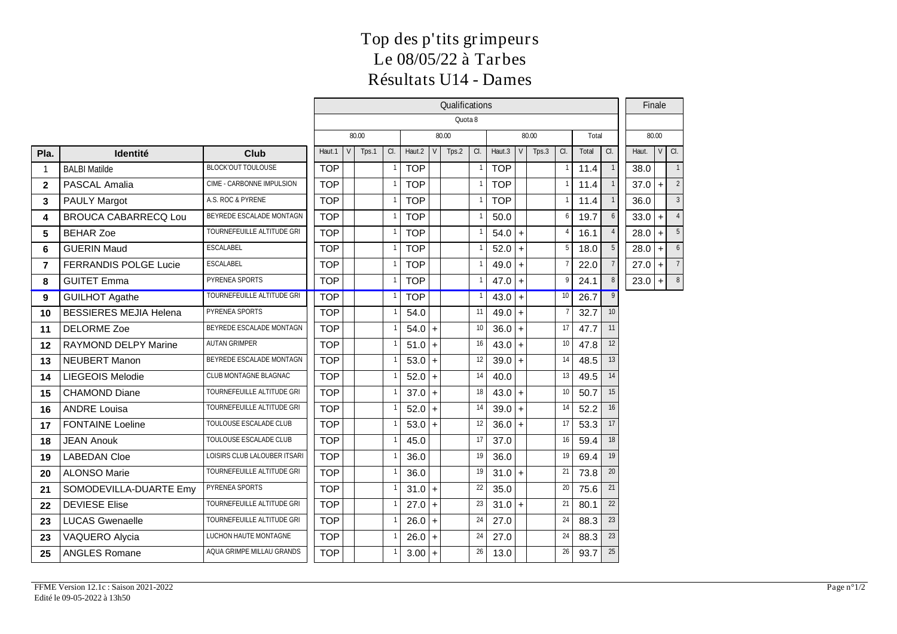## **Top des p'tits grimpeurs Le 08/05/22 à Tarbes Résultats U14 - Dames**

|                |                               |                                   | Qualifications |                                  |       |   |            |  |       |                 |            |  |       |                 |       | Finale          |          |          |                |
|----------------|-------------------------------|-----------------------------------|----------------|----------------------------------|-------|---|------------|--|-------|-----------------|------------|--|-------|-----------------|-------|-----------------|----------|----------|----------------|
|                |                               |                                   | Quota 8        |                                  |       |   |            |  |       |                 |            |  |       |                 |       |                 |          |          |                |
|                |                               |                                   |                | 80.00<br>80.00<br>80.00<br>Total |       |   |            |  |       |                 |            |  |       |                 | 80.00 |                 |          |          |                |
| Pla.           | Identité                      | Club                              | Haut.1         | V                                | Tps.1 | a | Haut.2     |  | Tps.2 | a               | Haut.3     |  | Tps.3 | a.              | Total | l a             | Haut.    | $ V $ a. |                |
| -1             | <b>BALBI Matilde</b>          | <b>BLOCKOUT TOULOUSE</b>          | <b>TOP</b>     |                                  |       |   | <b>TOP</b> |  |       |                 | <b>TOP</b> |  |       | - 1             | 11.4  |                 | 38.0     |          |                |
| $\mathbf{2}$   | PASCAL Amalia                 | CIME - CARBONNE IMPULSION         | <b>TOP</b>     |                                  |       |   | <b>TOP</b> |  |       |                 | <b>TOP</b> |  |       | $\overline{1}$  | 11.4  |                 | $37.0$ + |          | $\overline{2}$ |
| 3              | <b>PAULY Margot</b>           | A.S. ROC & PYRENE                 | <b>TOP</b>     |                                  |       |   | <b>TOP</b> |  |       |                 | <b>TOP</b> |  |       | $\overline{1}$  | 11.4  |                 | 36.0     |          | 3              |
| 4              | <b>BROUCA CABARRECQ Lou</b>   | BEYREDE ESCALADE MONTAGN          | <b>TOP</b>     |                                  |       |   | <b>TOP</b> |  |       |                 | 50.0       |  |       | 6               | 19.7  | 6               | $33.0 +$ |          |                |
| 5              | <b>BEHAR Zoe</b>              | TOURNEFEUILLE ALTITUDE GRI        | <b>TOP</b>     |                                  |       |   | <b>TOP</b> |  |       |                 | $54.0 +$   |  |       | $\overline{4}$  | 16.1  |                 | $28.0$ + |          | 5 <sub>5</sub> |
| 6              | <b>GUERIN Maud</b>            | <b>ESCALABEL</b>                  | <b>TOP</b>     |                                  |       |   | <b>TOP</b> |  |       |                 | $52.0 +$   |  |       | 5               | 18.0  | 5               | 28.0     | l + l    | $6 \mid$       |
| $\overline{7}$ | FERRANDIS POLGE Lucie         | <b>ESCALABEL</b>                  | <b>TOP</b>     |                                  |       |   | <b>TOP</b> |  |       |                 | $49.0 +$   |  |       | -7              | 22.0  |                 | 27.0     | l + l    | $\overline{7}$ |
| 8              | <b>GUITET Emma</b>            | PYRENEA SPORTS                    | <b>TOP</b>     |                                  |       |   | <b>TOP</b> |  |       |                 | $47.0 +$   |  |       | 9               | 24.1  | 8               | $23.0$ + |          | 8              |
| 9              | <b>GUILHOT Agathe</b>         | <b>TOURNEFEUILLE ALTITUDE GRI</b> | <b>TOP</b>     |                                  |       |   | <b>TOP</b> |  |       |                 | $43.0 +$   |  |       | 10              | 26.7  | 9               |          |          |                |
| 10             | <b>BESSIERES MEJIA Helena</b> | PYRENEA SPORTS                    | <b>TOP</b>     |                                  |       |   | 54.0       |  |       | 11              | $49.0 +$   |  |       | $\overline{7}$  | 32.7  | 10 <sup>1</sup> |          |          |                |
| 11             | <b>DELORME Zoe</b>            | BEYREDE ESCALADE MONTAGN          | <b>TOP</b>     |                                  |       |   | $54.0 +$   |  |       | 10              | $36.0+$    |  |       | 17              | 47.7  | 11              |          |          |                |
| 12             | RAYMOND DELPY Marine          | <b>AUTAN GRIMPER</b>              | <b>TOP</b>     |                                  |       |   | $51.0 +$   |  |       | 16 <sup>1</sup> | $43.0 +$   |  |       | 10 <sup>1</sup> | 47.8  | 12              |          |          |                |
| 13             | <b>NEUBERT Manon</b>          | BEYREDE ESCALADE MONTAGN          | <b>TOP</b>     |                                  |       |   | $53.0+$    |  |       | 12              | $39.0+$    |  |       | 14              | 48.5  | 13              |          |          |                |
| 14             | LIEGEOIS Melodie              | <b>CLUB MONTAGNE BLAGNAC</b>      | <b>TOP</b>     |                                  |       |   | $52.0 +$   |  |       | 14              | 40.0       |  |       | 13              | 49.5  | 14              |          |          |                |
| 15             | <b>CHAMOND Diane</b>          | TOURNEFEUILLE ALTITUDE GRI        | <b>TOP</b>     |                                  |       |   | $37.0 +$   |  |       | 18              | $43.0 +$   |  |       | 10 <sup>1</sup> | 50.7  | 15              |          |          |                |
| 16             | <b>ANDRE Louisa</b>           | TOURNEFEUILLE ALTITUDE GRI        | <b>TOP</b>     |                                  |       |   | 52.0       |  |       | 14              | $39.0 +$   |  |       | 14              | 52.2  | 16              |          |          |                |
| 17             | <b>FONTAINE Loeline</b>       | TOULOUSE ESCALADE CLUB            | <b>TOP</b>     |                                  |       |   | 53.0       |  |       | 12              | $36.0+$    |  |       | 17              | 53.3  | 17              |          |          |                |
| 18             | <b>JEAN Anouk</b>             | TOULOUSE ESCALADE CLUB            | <b>TOP</b>     |                                  |       |   | 45.0       |  |       | 17              | 37.0       |  |       | 16              | 59.4  | 18              |          |          |                |
| 19             | <b>LABEDAN Cloe</b>           | LOISIRS CLUB LALOUBER ITSARI      | <b>TOP</b>     |                                  |       |   | 36.0       |  |       | 19              | 36.0       |  |       | 19              | 69.4  | 19              |          |          |                |
| 20             | <b>ALONSO Marie</b>           | TOURNEFEUILLE ALTITUDE GRI        | <b>TOP</b>     |                                  |       |   | 36.0       |  |       | 19              | $31.0 +$   |  |       | 21              | 73.8  | 20              |          |          |                |
| 21             | SOMODEVILLA-DUARTE Emy        | PYRENEA SPORTS                    | <b>TOP</b>     |                                  |       |   | $31.0 +$   |  |       | 22              | 35.0       |  |       | 20 <sup>1</sup> | 75.6  | 21              |          |          |                |
| 22             | <b>DEVIESE Elise</b>          | TOURNEFEUILLE ALTITUDE GRI        | <b>TOP</b>     |                                  |       |   | $27.0 +$   |  |       | 23              | $31.0 +$   |  |       | 21              | 80.1  | 22              |          |          |                |
| 23             | <b>LUCAS Gwenaelle</b>        | TOURNEFEUILLE ALTITUDE GRI        | <b>TOP</b>     |                                  |       |   | 26.0       |  |       | 24              | 27.0       |  |       | 24              | 88.3  | 23              |          |          |                |
| 23             | VAQUERO Alycia                | LUCHON HAUTE MONTAGNE             | <b>TOP</b>     |                                  |       |   | 26.0       |  |       | 24              | 27.0       |  |       | 24              | 88.3  | 23              |          |          |                |
| 25             | <b>ANGLES Romane</b>          | AQUA GRIMPE MILLAU GRANDS         | <b>TOP</b>     |                                  |       |   | $3.00 +$   |  |       | 26              | 13.0       |  |       | 26              | 93.7  | 25              |          |          |                |
|                |                               |                                   |                |                                  |       |   |            |  |       |                 |            |  |       |                 |       |                 |          |          |                |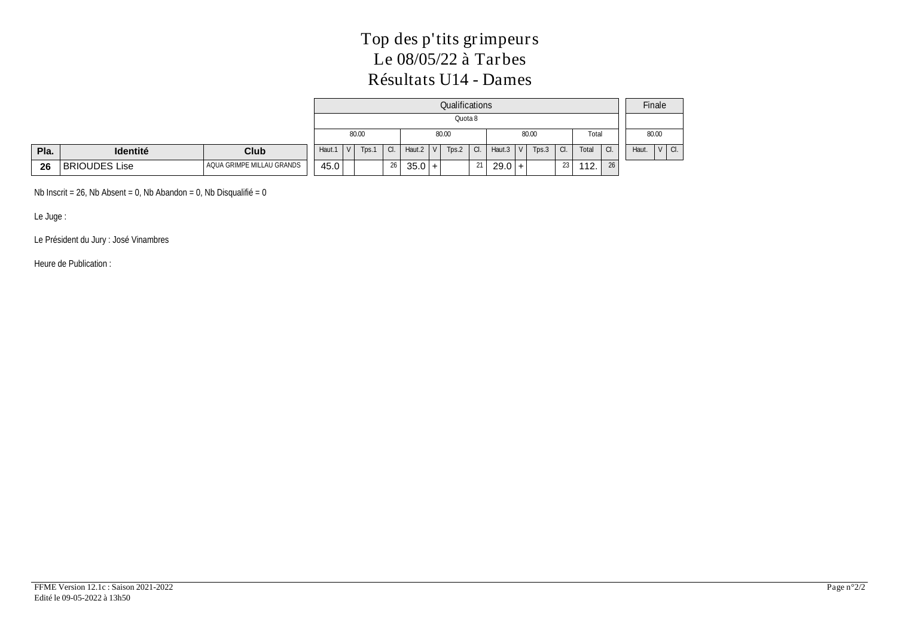# **Top des p'tits grimpeurs Le 08/05/22 à Tarbes Résultats U14 - Dames**

|      |                 |                           |        |                         |            |        |            | Qualifications     |     |                 |       |      |       |     | Finale             |
|------|-----------------|---------------------------|--------|-------------------------|------------|--------|------------|--------------------|-----|-----------------|-------|------|-------|-----|--------------------|
|      |                 |                           |        |                         |            |        |            | Quota <sub>8</sub> |     |                 |       |      |       |     |                    |
|      |                 |                           |        | 80.00                   |            |        |            | 80.00              |     |                 | 80.00 |      | Total |     | 80.00              |
| Pla. | <b>Identité</b> | <b>Club</b>               | Haut.1 | Tps.1<br>V <sub>1</sub> | $\alpha$ . | Haut.2 | $\sim$ 1.1 | Tps.2              | CI. | Haut $3 \mid V$ | Tps.3 | ' a. | Total | CI. | $V$ $C$ .<br>Haut. |
| 26   | BRIOUDES Lise   | AQUA GRIMPE MILLAU GRANDS | 45.0   |                         | 26         | 35.0   | l +        |                    | 21  | $29.0 +$        |       | 23   | 112.  | 26  |                    |

Nb Inscrit =  $26$ , Nb Absent = 0, Nb Abandon = 0, Nb Disqualifié = 0

Le Juge :

Le Président du Jury : José Vinambres

Heure de Publication :